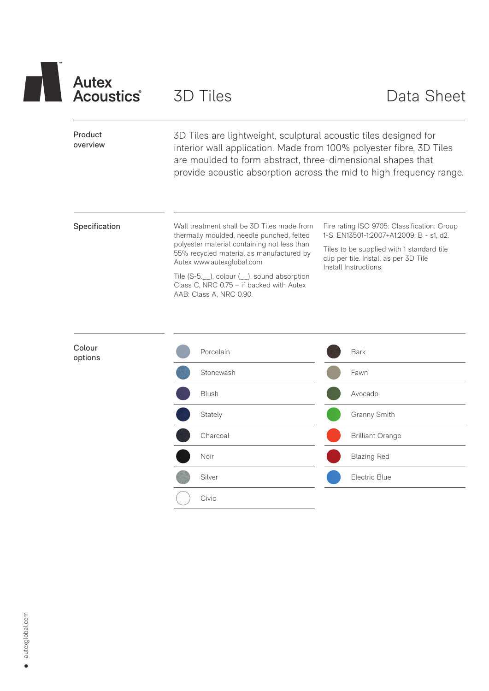

Civic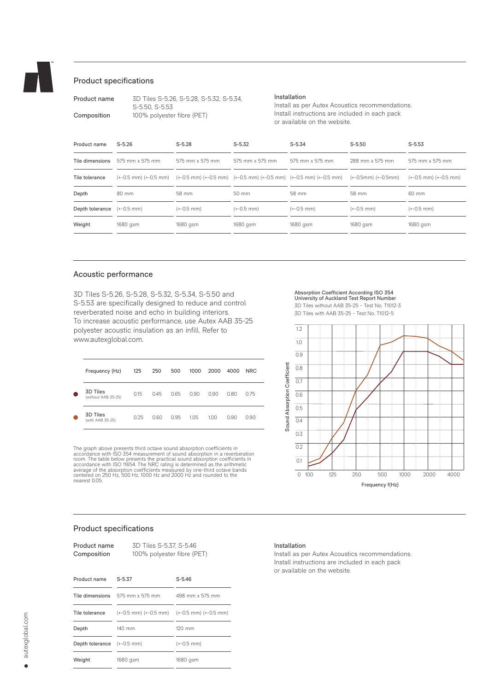

# Product specifications

| Product name | 3D Tiles S-5.26, S-5.28, S-5.32, S-5.34, |
|--------------|------------------------------------------|
|              | S-5.50, S-5.53                           |
| Composition  | 100% polyester fibre (PET)               |

### Installation

Install as per Autex Acoustics recommendations. Install instructions are included in each pack or available on the website.

| Product name    | $S - 5.26$      | $S-5.28$        | $S-5.32$          | $S-5.34$                                                                                                   | $S-5.50$            | $S-5.53$                        |
|-----------------|-----------------|-----------------|-------------------|------------------------------------------------------------------------------------------------------------|---------------------|---------------------------------|
| Tile dimensions | 575 mm x 575 mm | 575 mm x 575 mm | 575 mm x 575 mm   | 575 mm x 575 mm                                                                                            | 288 mm x 575 mm     | 575 mm x 575 mm                 |
| Tile tolerance  |                 |                 |                   | $(+0.5$ mm) $(+0.5$ mm) $(+0.5$ mm) $(+0.5$ mm) $(+0.5$ mm) $(+0.5$ mm) $(+0.5$ mm) $(+0.5$ mm) $(+0.5$ mm | (+-0.5mm) (+-0.5mm) | $(+-0.5$ mm $)$ $(+-0.5$ mm $)$ |
| Depth           | 80 mm           | 58 mm           | $50 \, \text{mm}$ | 58 mm                                                                                                      | 58 mm               | 60 mm                           |
| Depth tolerance | $(+-0.5$ mm)    | $(+-0.5$ mm)    | $(+-0.5$ mm)      | $(+-0.5$ mm)                                                                                               | $(+-0.5$ mm)        | $(+-0.5$ mm)                    |
| Weight          | 1680 gsm        | 1680 gsm        | 1680 gsm          | 1680 gsm                                                                                                   | 1680 gsm            | 1680 gsm                        |
|                 |                 |                 |                   |                                                                                                            |                     |                                 |

# Acoustic performance

3D Tiles

3D Tiles

nearest 0.05.

3D Tiles S-5.26, S-5.28, S-5.32, S-5.34, S-5.50 and S-5.53 are specifically designed to reduce and control reverberated noise and echo in building interiors. To increase acoustic performance, use Autex AAB 35-25 polyester acoustic insulation as an infill. Refer to www.autexglobal.com.

Frequency (Hz) 125 250 500 1000 2000 4000 NRC

(without AAB 35-25) 0.15 0.45 0.65 0.90 0.90 0.80 0.75

(with AAB 35-25) 0.25 0.60 0.95 1.05 1.00 0.90 0.90

The graph above presents third octave sound absorption coefficients in<br>accordance with ISO 354 measurement of sound absorption in a reverberation<br>room. The table below presents the practical sound absorption coefficients i

#### Absorption Coefficient According ISO 354 University of Auckland Test Report Number

3D Tiles without AAB 35-25 - Test No. T1012-3 3D Tiles with AAB 35-25 - Test No. T1012-5



# Product specifications

| Product name<br>Composition | 3D Tiles S-5.37, S-5.46<br>100% polyester fibre (PET) |                                                 |  |  |
|-----------------------------|-------------------------------------------------------|-------------------------------------------------|--|--|
| Product name                | $S - 5.37$                                            | $S - 5.46$                                      |  |  |
| Tile dimensions             | 575 mm x 575 mm                                       | 498 mm x 575 mm                                 |  |  |
| Tile tolerance              |                                                       | $(+0.5$ mm) $(+0.5$ mm) $(+0.5$ mm) $(+0.5$ mm) |  |  |
| Depth                       | 140 mm                                                | $120 \text{ mm}$                                |  |  |
| Depth tolerance (+-0.5 mm)  |                                                       | $(+-0.5$ mm)                                    |  |  |
| Weight                      | 1680 gsm                                              | 1680 gsm                                        |  |  |

## Installation

Install as per Autex Acoustics recommendations. Install instructions are included in each pack or available on the website.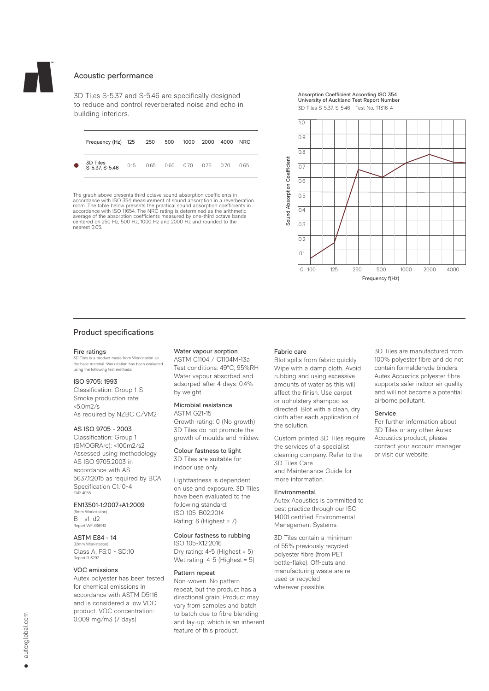

# Acoustic performance

3D Tiles S-5.37 and S-5.46 are specifically designed to reduce and control reverberated noise and echo in building interiors.

| Frequency (Hz) 125 250 500 1000 2000 4000 |                                    |  |  | <b>NRC</b> |
|-------------------------------------------|------------------------------------|--|--|------------|
| 3D Tiles<br>S-5.37, S-5.46                | 0.15  0.65  0.60  0.70  0.75  0.70 |  |  | 0.65       |

The graph above presents third octave sound absorption coefficients in accordance with ISO 354 measurement of sound absorption in a reverberation room. The table below presents the practical sound absorption coefficients in<br>accordance with ISO 11654. The NRC rating is determined as the arithmetic<br>average of the absorption coefficients measured by one-third octave ba centered on 250 Hz, 500 Hz, 1000 Hz and 2000 Hz and rounded to the nearest 0.05.

Absorption Coefficient According ISO 354 University of Auckland Test Report Number



## Product specifications

#### Fire ratings

3D Tiles is a product made from Workstation as the base material. Workstation has been evaluated using the following test methods:

## ISO 9705: 1993

Classification: Group 1-S Smoke production rate:  $< 5.0 m/s$ As required by NZBC C/VM2

### AS ISO 9705 - 2003

Classification: Group 1 (SMOGRArc): <100m2/s2 Assessed using methodology AS ISO 9705:2003 in accordance with AS 5637.1:2015 as required by BCA Specification C1.10-4 FAR 4055

### EN13501-1:2007+A1:2009

(6mm Workstation) B - s1, d2 Report WF 336913

### ASTM E84 - 14

(12mm Workstation) Class A, FS:0 - SD:10 Report RJ3297

## VOC emissions

Autex polyester has been tested for chemical emissions in accordance with ASTM D5116 and is considered a low VOC product. VOC concentration: 0.009 mg/m3 (7 days).

#### Water vapour sorption

ASTM C1104 / C1104M-13a Test conditions: 49°C, 95%RH Water vapour absorbed and adsorped after 4 days: 0.4% by weight.

#### Microbial resistance ASTM G21-15

Growth rating: 0 (No growth) 3D Tiles do not promote the growth of moulds and mildew.

Colour fastness to light 3D Tiles are suitable for

indoor use only.

Lightfastness is dependent on use and exposure. 3D Tiles have been evaluated to the following standard: ISO 105-B02:2014 Rating: 6 (Highest = 7)

### Colour fastness to rubbing

ISO 105-X12:2016 Dry rating: 4-5 (Highest = 5) Wet rating: 4-5 (Highest = 5)

### Pattern repeat

Non-woven. No pattern repeat, but the product has a directional grain. Product may vary from samples and batch to batch due to fibre blending and lay-up, which is an inherent feature of this product.

#### Fabric care

Blot spills from fabric quickly. Wipe with a damp cloth. Avoid rubbing and using excessive amounts of water as this will affect the finish. Use carpet or upholstery shampoo as directed. Blot with a clean, dry cloth after each application of the solution.

Custom printed 3D Tiles require the services of a specialist cleaning company. Refer to the 3D Tiles Care and Maintenance Guide for more information.

#### Environmental

Autex Acoustics is committed to best practice through our ISO 14001 certified Environmental Management Systems.

3D Tiles contain a minimum of 55% previously recycled polyester fibre (from PET bottle-flake). Off-cuts and manufacturing waste are reused or recycled wherever possible.

3D Tiles are manufactured from 100% polyester fibre and do not contain formaldehyde binders. Autex Acoustics polyester fibre supports safer indoor air quality and will not become a potential airborne pollutant.

#### Service

For further information about 3D Tiles or any other Autex Acoustics product, please contact your account manager or visit our website.